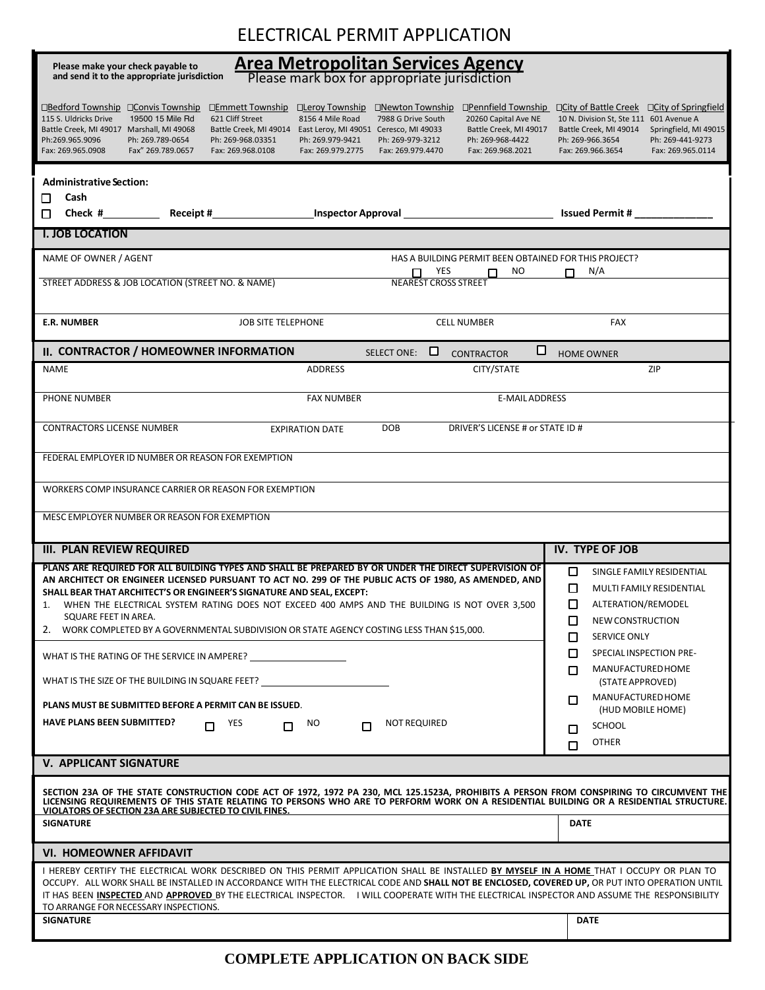## ELECTRICAL PERMIT APPLICATION

| <b>Area Metropolitan Services Agency</b><br>Please mark box for appropriate jurisdiction<br>Please make your check payable to<br>and send it to the appropriate jurisdiction                                                                                                                                                                                                                                                                                                                                                                                                                                                                               |                                                                                                                                                                                                                                      |  |  |  |  |  |  |  |  |
|------------------------------------------------------------------------------------------------------------------------------------------------------------------------------------------------------------------------------------------------------------------------------------------------------------------------------------------------------------------------------------------------------------------------------------------------------------------------------------------------------------------------------------------------------------------------------------------------------------------------------------------------------------|--------------------------------------------------------------------------------------------------------------------------------------------------------------------------------------------------------------------------------------|--|--|--|--|--|--|--|--|
| □Bedford Township □ Convis Township<br><b>DEmmett Township DLeroy Township</b><br>□Newton Township<br>□Pennfield Township<br>8156 4 Mile Road<br>115 S. Uldricks Drive<br>19500 15 Mile Rd<br>621 Cliff Street<br>7988 G Drive South<br>20260 Capital Ave NE<br>Battle Creek, MI 49017 Marshall, MI 49068<br>Battle Creek, MI 49014 East Leroy, MI 49051 Ceresco, MI 49033<br>Battle Creek, MI 49017<br>Ph:269.965.9096<br>Ph: 269.789-0654<br>Ph: 269-968.03351<br>Ph: 269.979-9421<br>Ph: 269-979-3212<br>Ph: 269-968-4422<br>Fax: 269.965.0908<br>Fax" 269.789.0657<br>Fax: 269.968.0108<br>Fax: 269.979.2775<br>Fax: 269.979.4470<br>Fax: 269.968.2021 | $\Box$ City of Battle Creek<br>□ City of Springfield<br>10 N. Division St, Ste 111 601 Avenue A<br>Battle Creek, MI 49014<br>Springfield, MI 49015<br>Ph: 269-966.3654<br>Ph: 269-441-9273<br>Fax: 269.966.3654<br>Fax: 269.965.0114 |  |  |  |  |  |  |  |  |
| <b>Administrative Section:</b>                                                                                                                                                                                                                                                                                                                                                                                                                                                                                                                                                                                                                             |                                                                                                                                                                                                                                      |  |  |  |  |  |  |  |  |
| Cash<br>□<br>п                                                                                                                                                                                                                                                                                                                                                                                                                                                                                                                                                                                                                                             | <b>Issued Permit #</b>                                                                                                                                                                                                               |  |  |  |  |  |  |  |  |
| <b>I. JOB LOCATION</b>                                                                                                                                                                                                                                                                                                                                                                                                                                                                                                                                                                                                                                     |                                                                                                                                                                                                                                      |  |  |  |  |  |  |  |  |
| NAME OF OWNER / AGENT<br>HAS A BUILDING PERMIT BEEN OBTAINED FOR THIS PROJECT?                                                                                                                                                                                                                                                                                                                                                                                                                                                                                                                                                                             |                                                                                                                                                                                                                                      |  |  |  |  |  |  |  |  |
| NO.<br>YES<br>П<br>п<br>STREET ADDRESS & JOB LOCATION (STREET NO. & NAME)<br><b>NEAREST CROSS STREET</b>                                                                                                                                                                                                                                                                                                                                                                                                                                                                                                                                                   | N/A<br>п                                                                                                                                                                                                                             |  |  |  |  |  |  |  |  |
| <b>E.R. NUMBER</b><br><b>JOB SITE TELEPHONE</b><br><b>CELL NUMBER</b>                                                                                                                                                                                                                                                                                                                                                                                                                                                                                                                                                                                      | <b>FAX</b>                                                                                                                                                                                                                           |  |  |  |  |  |  |  |  |
| □<br>II. CONTRACTOR / HOMEOWNER INFORMATION<br>⊔<br><b>SELECT ONE:</b><br><b>CONTRACTOR</b>                                                                                                                                                                                                                                                                                                                                                                                                                                                                                                                                                                | <b>HOME OWNER</b>                                                                                                                                                                                                                    |  |  |  |  |  |  |  |  |
| <b>NAME</b><br><b>ADDRESS</b><br>CITY/STATE                                                                                                                                                                                                                                                                                                                                                                                                                                                                                                                                                                                                                | ZIP                                                                                                                                                                                                                                  |  |  |  |  |  |  |  |  |
| PHONE NUMBER<br><b>FAX NUMBER</b><br><b>E-MAIL ADDRESS</b>                                                                                                                                                                                                                                                                                                                                                                                                                                                                                                                                                                                                 |                                                                                                                                                                                                                                      |  |  |  |  |  |  |  |  |
| <b>CONTRACTORS LICENSE NUMBER</b><br>DOB<br>DRIVER'S LICENSE # or STATE ID #<br><b>EXPIRATION DATE</b>                                                                                                                                                                                                                                                                                                                                                                                                                                                                                                                                                     |                                                                                                                                                                                                                                      |  |  |  |  |  |  |  |  |
| FEDERAL EMPLOYER ID NUMBER OR REASON FOR EXEMPTION                                                                                                                                                                                                                                                                                                                                                                                                                                                                                                                                                                                                         |                                                                                                                                                                                                                                      |  |  |  |  |  |  |  |  |
| WORKERS COMP INSURANCE CARRIER OR REASON FOR EXEMPTION                                                                                                                                                                                                                                                                                                                                                                                                                                                                                                                                                                                                     |                                                                                                                                                                                                                                      |  |  |  |  |  |  |  |  |
| MESC EMPLOYER NUMBER OR REASON FOR EXEMPTION                                                                                                                                                                                                                                                                                                                                                                                                                                                                                                                                                                                                               |                                                                                                                                                                                                                                      |  |  |  |  |  |  |  |  |
| <b>III. PLAN REVIEW REQUIRED</b>                                                                                                                                                                                                                                                                                                                                                                                                                                                                                                                                                                                                                           | <b>IV. TYPE OF JOB</b>                                                                                                                                                                                                               |  |  |  |  |  |  |  |  |
| PLANS ARE REQUIRED FOR ALL BUILDING TYPES AND SHALL BE PREPARED BY OR UNDER THE DIRECT SUPERVISION OF<br>AN ARCHITECT OR ENGINEER LICENSED PURSUANT TO ACT NO. 299 OF THE PUBLIC ACTS OF 1980, AS AMENDED, AND<br>SHALL BEAR THAT ARCHITECT'S OR ENGINEER'S SIGNATURE AND SEAL, EXCEPT:<br>WHEN THE ELECTRICAL SYSTEM RATING DOES NOT EXCEED 400 AMPS AND THE BUILDING IS NOT OVER 3,500<br>1.<br>SQUARE FEET IN AREA.<br>2.<br>WORK COMPLETED BY A GOVERNMENTAL SUBDIVISION OR STATE AGENCY COSTING LESS THAN \$15,000.                                                                                                                                   | □<br>SINGLE FAMILY RESIDENTIAL<br>$\Box$<br>MULTI FAMILY RESIDENTIAL<br>◻<br>ALTERATION/REMODEL<br>□<br>NEW CONSTRUCTION<br>□<br><b>SERVICE ONLY</b>                                                                                 |  |  |  |  |  |  |  |  |
| WHAT IS THE RATING OF THE SERVICE IN AMPERE?                                                                                                                                                                                                                                                                                                                                                                                                                                                                                                                                                                                                               | □<br>SPECIAL INSPECTION PRE-                                                                                                                                                                                                         |  |  |  |  |  |  |  |  |
| WHAT IS THE SIZE OF THE BUILDING IN SQUARE FEET?                                                                                                                                                                                                                                                                                                                                                                                                                                                                                                                                                                                                           | □<br>MANUFACTUREDHOME<br>(STATE APPROVED)                                                                                                                                                                                            |  |  |  |  |  |  |  |  |
| PLANS MUST BE SUBMITTED BEFORE A PERMIT CAN BE ISSUED.                                                                                                                                                                                                                                                                                                                                                                                                                                                                                                                                                                                                     | MANUFACTURED HOME<br>□<br>(HUD MOBILE HOME)                                                                                                                                                                                          |  |  |  |  |  |  |  |  |
| <b>HAVE PLANS BEEN SUBMITTED?</b><br><b>NOT REQUIRED</b><br>YES<br>NO.<br>п<br>п<br>п                                                                                                                                                                                                                                                                                                                                                                                                                                                                                                                                                                      | <b>SCHOOL</b><br>□                                                                                                                                                                                                                   |  |  |  |  |  |  |  |  |
|                                                                                                                                                                                                                                                                                                                                                                                                                                                                                                                                                                                                                                                            | <b>OTHER</b><br>п                                                                                                                                                                                                                    |  |  |  |  |  |  |  |  |
| <b>V. APPLICANT SIGNATURE</b>                                                                                                                                                                                                                                                                                                                                                                                                                                                                                                                                                                                                                              |                                                                                                                                                                                                                                      |  |  |  |  |  |  |  |  |
| SECTION 23A OF THE STATE CONSTRUCTION CODE ACT OF 1972, 1972 PA 230, MCL 125.1523A, PROHIBITS A PERSON FROM CONSPIRING TO CIRCUMVENT THE<br>LICENSING REQUIREMENTS OF THIS STATE RELATING TO PERSONS WHO ARE TO PERFORM WORK ON A RESIDENTIAL BUILDING OR A RESIDENTIAL STRUCTURE.<br>VIOLATORS OF SECTION 23A ARE SUBJECTED TO CIVIL FINES.                                                                                                                                                                                                                                                                                                               |                                                                                                                                                                                                                                      |  |  |  |  |  |  |  |  |
| <b>SIGNATURE</b>                                                                                                                                                                                                                                                                                                                                                                                                                                                                                                                                                                                                                                           | <b>DATE</b>                                                                                                                                                                                                                          |  |  |  |  |  |  |  |  |
| <b>VI. HOMEOWNER AFFIDAVIT</b>                                                                                                                                                                                                                                                                                                                                                                                                                                                                                                                                                                                                                             |                                                                                                                                                                                                                                      |  |  |  |  |  |  |  |  |
| I HEREBY CERTIFY THE ELECTRICAL WORK DESCRIBED ON THIS PERMIT APPLICATION SHALL BE INSTALLED BY MYSELF IN A HOME THAT I OCCUPY OR PLAN TO<br>OCCUPY. ALL WORK SHALL BE INSTALLED IN ACCORDANCE WITH THE ELECTRICAL CODE AND SHALL NOT BE ENCLOSED, COVERED UP, OR PUT INTO OPERATION UNTIL<br>IT HAS BEEN INSPECTED AND APPROVED BY THE ELECTRICAL INSPECTOR. IWILL COOPERATE WITH THE ELECTRICAL INSPECTOR AND ASSUME THE RESPONSIBILITY                                                                                                                                                                                                                  |                                                                                                                                                                                                                                      |  |  |  |  |  |  |  |  |
| TO ARRANGE FOR NECESSARY INSPECTIONS.<br><b>SIGNATURE</b>                                                                                                                                                                                                                                                                                                                                                                                                                                                                                                                                                                                                  | <b>DATE</b>                                                                                                                                                                                                                          |  |  |  |  |  |  |  |  |